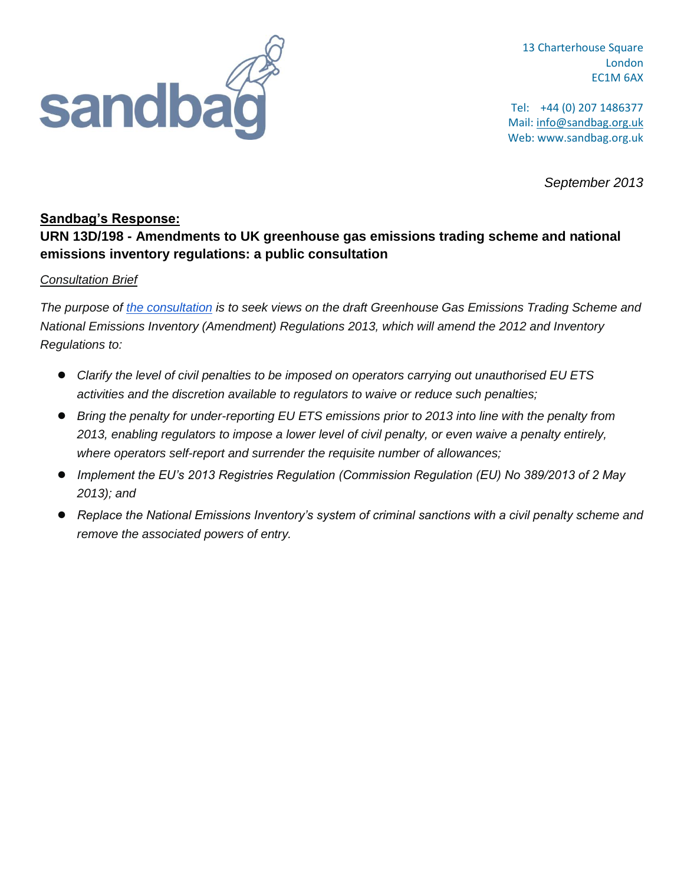

13 Charterhouse Square London EC1M 6AX

Tel: +44 (0) 207 1486377 Mail: info@sandbag.org.uk Web: www.sandbag.org.uk

*September 2013*

## **Sandbag's Response:**

# **URN 13D/198 - Amendments to UK greenhouse gas emissions trading scheme and national emissions inventory regulations: a public consultation**

### *Consultation Brief*

*The purpose of the [consultation](https://www.gov.uk/government/uploads/system/uploads/attachment_data/file/226910/EU_ETS_amend_regs_-_condoc_130808.pdf) is to seek views on the draft Greenhouse Gas Emissions Trading Scheme and National Emissions Inventory (Amendment) Regulations 2013, which will amend the 2012 and Inventory Regulations to:*

- *Clarify the level of civil penalties to be imposed on operators carrying out unauthorised EU ETS activities and the discretion available to regulators to waive or reduce such penalties;*
- *Bring the penalty for under-reporting EU ETS emissions prior to 2013 into line with the penalty from 2013, enabling regulators to impose a lower level of civil penalty, or even waive a penalty entirely, where operators self-report and surrender the requisite number of allowances;*
- *Implement the EU's 2013 Registries Regulation (Commission Regulation (EU) No 389/2013 of 2 May 2013); and*
- *Replace the National Emissions Inventory's system of criminal sanctions with a civil penalty scheme and remove the associated powers of entry.*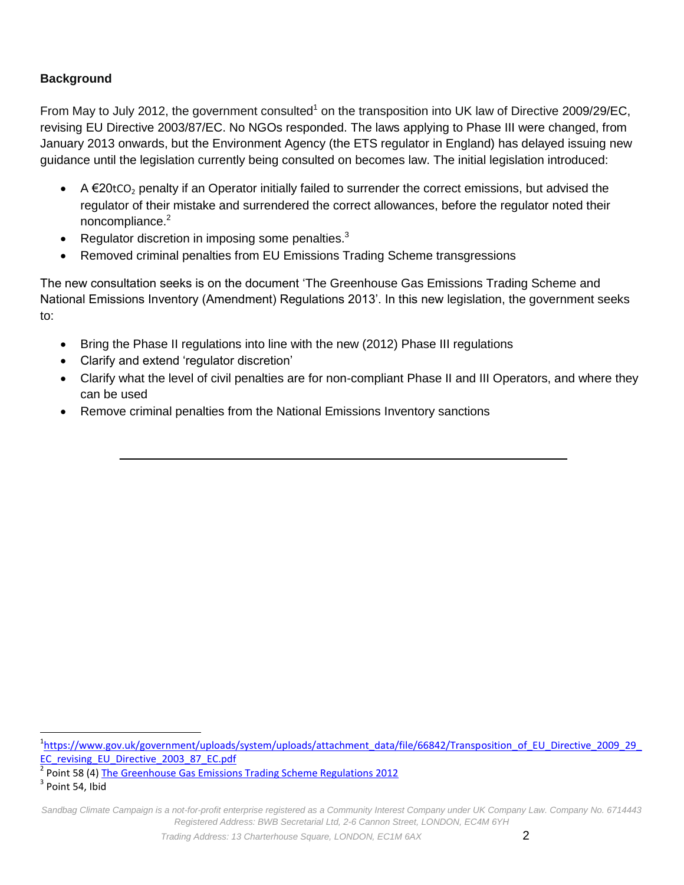## **Background**

From May to July 2012, the government consulted<sup>1</sup> on the transposition into UK law of Directive 2009/29/EC, revising EU Directive 2003/87/EC. No NGOs responded. The laws applying to Phase III were changed, from January 2013 onwards, but the Environment Agency (the ETS regulator in England) has delayed issuing new guidance until the legislation currently being consulted on becomes law. The initial legislation introduced:

- A  $\epsilon$ 20tCO<sub>2</sub> penalty if an Operator initially failed to surrender the correct emissions, but advised the regulator of their mistake and surrendered the correct allowances, before the regulator noted their noncompliance.<sup>2</sup>
- Regulator discretion in imposing some penalties.<sup>3</sup>
- Removed criminal penalties from EU Emissions Trading Scheme transgressions

The new consultation seeks is on the document 'The Greenhouse Gas Emissions Trading Scheme and National Emissions Inventory (Amendment) Regulations 2013'. In this new legislation, the government seeks to:

- Bring the Phase II regulations into line with the new (2012) Phase III regulations
- Clarify and extend 'regulator discretion'
- Clarify what the level of civil penalties are for non-compliant Phase II and III Operators, and where they can be used
- Remove criminal penalties from the National Emissions Inventory sanctions

2 Point 58 (4) [The Greenhouse Gas Emissions Trading Scheme Regulations 2012](https://www.gov.uk/government/uploads/system/uploads/attachment_data/file/42946/5219-si-greenhouse-gas-emissions-trading-regs.pdf)

 $\overline{\phantom{a}}$ <sup>1</sup>[https://www.gov.uk/government/uploads/system/uploads/attachment\\_data/file/66842/Transposition\\_of\\_EU\\_Directive\\_2009\\_29\\_](https://www.gov.uk/government/uploads/system/uploads/attachment_data/file/66842/Transposition_of_EU_Directive_2009_29_EC_revising_EU_Directive_2003_87_EC.pdf) [EC\\_revising\\_EU\\_Directive\\_2003\\_87\\_EC.pdf](https://www.gov.uk/government/uploads/system/uploads/attachment_data/file/66842/Transposition_of_EU_Directive_2009_29_EC_revising_EU_Directive_2003_87_EC.pdf)

 $3$  Point 54, Ibid

*Sandbag Climate Campaign is a not-for-profit enterprise registered as a Community Interest Company under UK Company Law. Company No. 6714443 Registered Address: BWB Secretarial Ltd, 2-6 Cannon Street, LONDON, EC4M 6YH*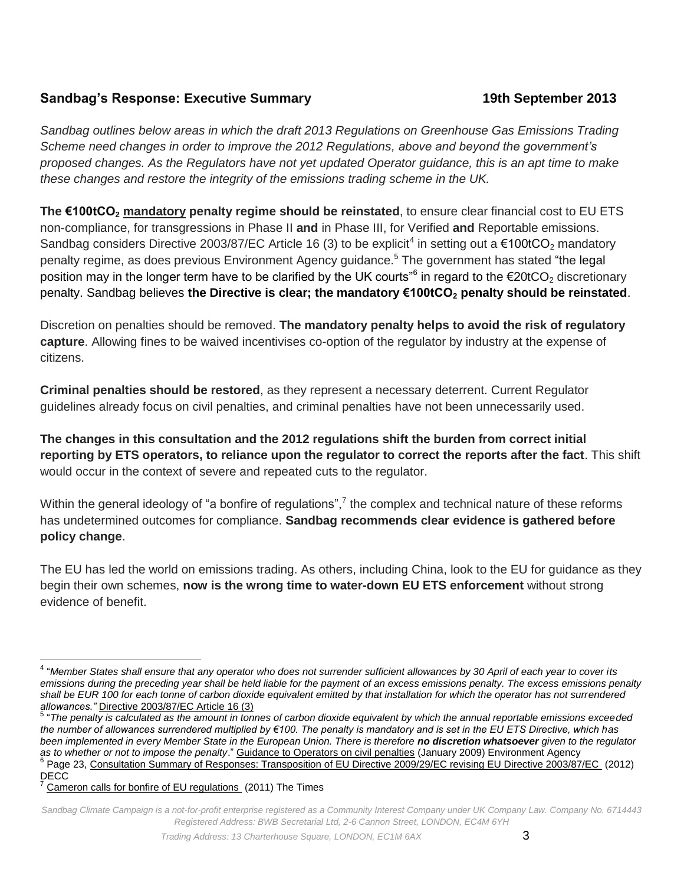## **Sandbag's Response: Executive Summary 19th September 2013**

*Sandbag outlines below areas in which the draft 2013 Regulations on Greenhouse Gas Emissions Trading Scheme need changes in order to improve the 2012 Regulations, above and beyond the government's proposed changes. As the Regulators have not yet updated Operator guidance, this is an apt time to make these changes and restore the integrity of the emissions trading scheme in the UK.*

**The €100tCO<sup>2</sup> mandatory penalty regime should be reinstated**, to ensure clear financial cost to EU ETS non-compliance, for transgressions in Phase II **and** in Phase III, for Verified **and** Reportable emissions. Sandbag considers Directive 2003/87/EC Article 16 (3) to be explicit<sup>4</sup> in setting out a  $\epsilon$ 100tCO<sub>2</sub> mandatory penalty regime, as does previous Environment Agency guidance.<sup>5</sup> The government has stated "the legal position may in the longer term have to be clarified by the UK courts" $^6$  in regard to the €20tCO<sub>2</sub> discretionary penalty. Sandbag believes **the Directive is clear; the mandatory €100tCO<sup>2</sup> penalty should be reinstated**.

Discretion on penalties should be removed. **The mandatory penalty helps to avoid the risk of regulatory capture**. Allowing fines to be waived incentivises co-option of the regulator by industry at the expense of citizens.

**Criminal penalties should be restored**, as they represent a necessary deterrent. Current Regulator guidelines already focus on civil penalties, and criminal penalties have not been unnecessarily used.

**The changes in this consultation and the 2012 regulations shift the burden from correct initial reporting by ETS operators, to reliance upon the regulator to correct the reports after the fact**. This shift would occur in the context of severe and repeated cuts to the regulator.

Within the general ideology of "a bonfire of regulations",<sup>7</sup> the complex and technical nature of these reforms has undetermined outcomes for compliance. **Sandbag recommends clear evidence is gathered before policy change**.

The EU has led the world on emissions trading. As others, including China, look to the EU for guidance as they begin their own schemes, **now is the wrong time to water-down EU ETS enforcement** without strong evidence of benefit.

 4 "*Member States shall ensure that any operator who does not surrender sufficient allowances by 30 April of each year to cover its emissions during the preceding year shall be held liable for the payment of an excess emissions penalty. The excess emissions penalty shall be EUR 100 for each tonne of carbon dioxide equivalent emitted by that installation for which the operator has not surrendered allowances."* [Directive 2003/87/EC Article 16 \(3\)](http://eur-lex.europa.eu/LexUriServ/LexUriServ.do?uri=CELEX:32003L0087:en:NOT) 

<sup>&</sup>lt;sup>5</sup> "The penalty is calculated as the amount in tonnes of carbon dioxide equivalent by which the annual reportable emissions exceeded *the number of allowances surrendered multiplied by €100. The penalty is mandatory and is set in the EU ETS Directive, which has been implemented in every Member State in the European Union. There is therefore no discretion whatsoever given to the regulator as to whether or not to impose the penalty*.[" Guidance to Operators on civil penalties](http://www.environment-agency.gov.uk/static/documents/Business/2009_01_29_Guidance_to_Operators_on_civil_penalties.pdf) (January 2009) Environment Agency <sup>6</sup> Page 23, [Consultation Summary of Responses: Transposition of EU Directive 2009/29/EC revising EU Directive 2003/87/EC](https://www.gov.uk/government/uploads/system/uploads/attachment_data/file/66845/Transposition_of_EU_Directive_2009_29_EC_revising_EU_Directive_2003_87_EC_-_summary_of_responses_and_government_response.pdf) (2012) DECC

[Cameron calls for bonfire of EU regulations](http://www.thetimes.co.uk/tto/business/davos/article2891848.ece) (2011) The Times

*Sandbag Climate Campaign is a not-for-profit enterprise registered as a Community Interest Company under UK Company Law. Company No. 6714443 Registered Address: BWB Secretarial Ltd, 2-6 Cannon Street, LONDON, EC4M 6YH*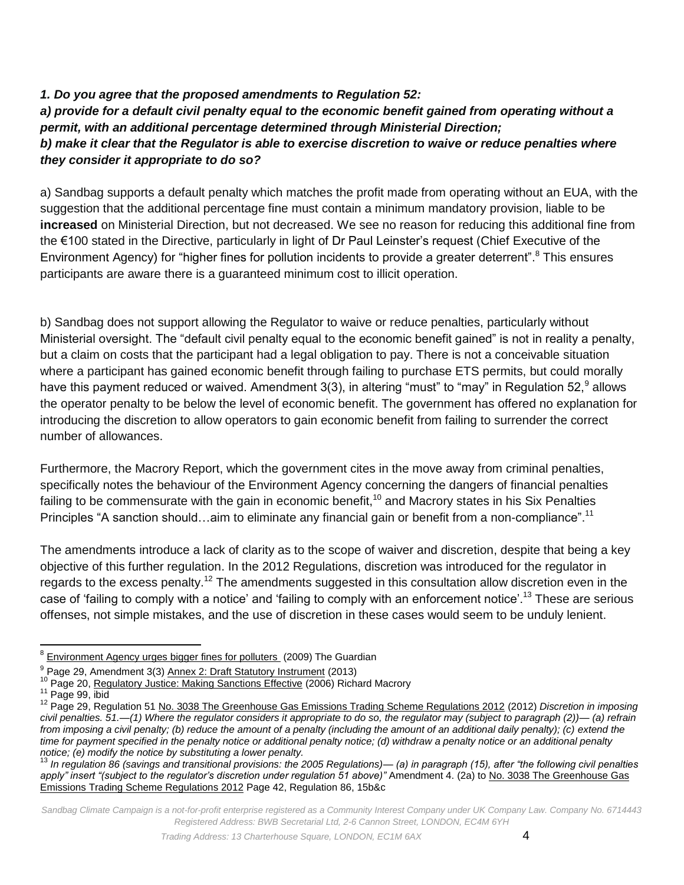*1. Do you agree that the proposed amendments to Regulation 52: a) provide for a default civil penalty equal to the economic benefit gained from operating without a permit, with an additional percentage determined through Ministerial Direction; b) make it clear that the Regulator is able to exercise discretion to waive or reduce penalties where they consider it appropriate to do so?* 

a) Sandbag supports a default penalty which matches the profit made from operating without an EUA, with the suggestion that the additional percentage fine must contain a minimum mandatory provision, liable to be **increased** on Ministerial Direction, but not decreased. We see no reason for reducing this additional fine from the €100 stated in the Directive, particularly in light of Dr Paul Leinster's request (Chief Executive of the Environment Agency) for "higher fines for pollution incidents to provide a greater deterrent".<sup>8</sup> This ensures participants are aware there is a guaranteed minimum cost to illicit operation.

b) Sandbag does not support allowing the Regulator to waive or reduce penalties, particularly without Ministerial oversight. The "default civil penalty equal to the economic benefit gained" is not in reality a penalty, but a claim on costs that the participant had a legal obligation to pay. There is not a conceivable situation where a participant has gained economic benefit through failing to purchase ETS permits, but could morally have this payment reduced or waived. Amendment 3(3), in altering "must" to "may" in Regulation 52,<sup>9</sup> allows the operator penalty to be below the level of economic benefit. The government has offered no explanation for introducing the discretion to allow operators to gain economic benefit from failing to surrender the correct number of allowances.

Furthermore, the Macrory Report, which the government cites in the move away from criminal penalties, specifically notes the behaviour of the Environment Agency concerning the dangers of financial penalties failing to be commensurate with the gain in economic benefit,<sup>10</sup> and Macrory states in his Six Penalties Principles "A sanction should...aim to eliminate any financial gain or benefit from a non-compliance".<sup>11</sup>

The amendments introduce a lack of clarity as to the scope of waiver and discretion, despite that being a key objective of this further regulation. In the 2012 Regulations, discretion was introduced for the regulator in regards to the excess penalty.<sup>12</sup> The amendments suggested in this consultation allow discretion even in the case of 'failing to comply with a notice' and 'failing to comply with an enforcement notice'.<sup>13</sup> These are serious offenses, not simple mistakes, and the use of discretion in these cases would seem to be unduly lenient.

 $\overline{\phantom{a}}$ <sup>8</sup> [Environment Agency urges bigger fines for polluters](http://www.theguardian.com/environment/2009/nov/06/environment-agency-pollution-fines) (2009) The Guardian

<sup>&</sup>lt;sup>9</sup> Page 29, Amendment 3(3) [Annex 2: Draft Statutory Instrument](https://www.gov.uk/government/uploads/system/uploads/attachment_data/file/226910/EU_ETS_amend_regs_-_condoc_130808.pdf) (2013)

<sup>&</sup>lt;sup>10</sup> Page 20[, Regulatory Justice: Making Sanctions Effective](http://www.berr.gov.uk/files/file44593.pdf) (2006) Richard Macrory

 $11$  Page 99, ibid

<sup>12</sup> Page 29, Regulation 51 [No. 3038 The Greenhouse Gas Emissions Trading Scheme Regulations 2012](http://www.legislation.gov.uk/uksi/2012/3038/pdfs/uksi_20123038_en.pdf) (2012) *Discretion in imposing civil penalties. 51.—(1) Where the regulator considers it appropriate to do so, the regulator may (subject to paragraph (2))— (a) refrain*  from imposing a civil penalty; (b) reduce the amount of a penalty (including the amount of an additional daily penalty); (c) extend the *time for payment specified in the penalty notice or additional penalty notice; (d) withdraw a penalty notice or an additional penalty notice; (e) modify the notice by substituting a lower penalty.*<br><sup>13</sup> In requision 86 (povince and transitional in the penalty.

<sup>13</sup> *In regulation 86 (savings and transitional provisions: the 2005 Regulations)— (a) in paragraph (15), after "the following civil penalties apply" insert "(subject to the regulator's discretion under regulation 51 above)"* Amendment 4. (2a) t[o No. 3038 The Greenhouse Gas](http://www.legislation.gov.uk/uksi/2012/3038/pdfs/uksi_20123038_en.pdf)  [Emissions Trading Scheme Regulations 2012](http://www.legislation.gov.uk/uksi/2012/3038/pdfs/uksi_20123038_en.pdf) Page 42, Regulation 86, 15b&c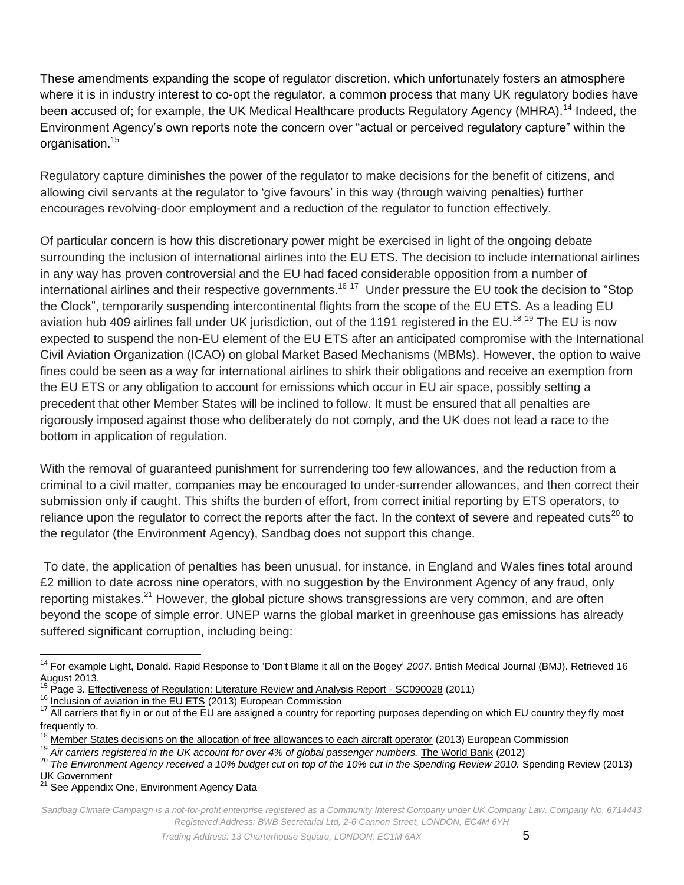These amendments expanding the scope of regulator discretion, which unfortunately fosters an atmosphere where it is in industry interest to co-opt the regulator, a common process that many UK regulatory bodies have been accused of; for example, the UK Medical Healthcare products Regulatory Agency (MHRA).<sup>14</sup> Indeed, the Environment Agency's own reports note the concern over "actual or perceived regulatory capture" within the organisation.<sup>15</sup>

Regulatory capture diminishes the power of the regulator to make decisions for the benefit of citizens, and allowing civil servants at the regulator to 'give favours' in this way (through waiving penalties) further encourages revolving-door employment and a reduction of the regulator to function effectively.

Of particular concern is how this discretionary power might be exercised in light of the ongoing debate surrounding the inclusion of international airlines into the EU ETS. The decision to include international airlines in any way has proven controversial and the EU had faced considerable opposition from a number of international airlines and their respective governments.<sup>16 17</sup> Under pressure the EU took the decision to "Stop the Clock", temporarily suspending intercontinental flights from the scope of the EU ETS. As a leading EU aviation hub 409 airlines fall under UK jurisdiction, out of the 1191 registered in the EU.<sup>18 19</sup> The EU is now expected to suspend the non-EU element of the EU ETS after an anticipated compromise with the International Civil Aviation Organization (ICAO) on global Market Based Mechanisms (MBMs). However, the option to waive fines could be seen as a way for international airlines to shirk their obligations and receive an exemption from the EU ETS or any obligation to account for emissions which occur in EU air space, possibly setting a precedent that other Member States will be inclined to follow. It must be ensured that all penalties are rigorously imposed against those who deliberately do not comply, and the UK does not lead a race to the bottom in application of regulation.

With the removal of guaranteed punishment for surrendering too few allowances, and the reduction from a criminal to a civil matter, companies may be encouraged to under-surrender allowances, and then correct their submission only if caught. This shifts the burden of effort, from correct initial reporting by ETS operators, to reliance upon the regulator to correct the reports after the fact. In the context of severe and repeated cuts<sup>20</sup> to the regulator (the Environment Agency), Sandbag does not support this change.

To date, the application of penalties has been unusual, for instance, in England and Wales fines total around £2 million to date across nine operators, with no suggestion by the Environment Agency of any fraud, only reporting mistakes.<sup>21</sup> However, the global picture shows transgressions are very common, and are often beyond the scope of simple error. UNEP warns the global market in greenhouse gas emissions has already suffered significant corruption, including being:

<sup>16</sup> [Inclusion of aviation in the EU ETS](http://ec.europa.eu/clima/policies/transport/aviation/index_en.htm) (2013) European Commission

See Appendix One, Environment Agency Data

 $\overline{\phantom{a}}$ <sup>14</sup> For example Light, Donald[. Rapid Response to 'Don't Blame it all on the Bogey'](http://www.bmj.com/content/334/7606/1250?tab=responses) *2007*. British Medical Journal (BMJ). Retrieved 16 August 2013.

<sup>&</sup>lt;sup>15</sup> Page 3[. Effectiveness of Regulation: Literature Review and Analysis Report -](http://www.skep-network.eu/Libraries/Publications/Effectiveness_of_Regulation_Literature_Review_and_Analysis_SC090028.sflb.ashx) SC090028 (2011)

 $17$  All carriers that fly in or out of the EU are assigned a country for reporting purposes depending on which EU country they fly most frequently to.

[Member States decisions on the allocation of free allowances to each aircraft operator](http://ec.europa.eu/clima/policies/transport/aviation/allowances/links_en.htm) (2013) European Commission

<sup>&</sup>lt;sup>19</sup> Air carriers registered in the UK account for over 4% of global passenger numbers. [The World Bank](http://data.worldbank.org/indicator/IS.AIR.PSGR/countries/1W?display=default) (2012)

<sup>&</sup>lt;sup>20</sup> The Environment Agency received a 10% budget cut on top of the 10% cut in the [Spending Review](https://www.gov.uk/government/topical-events/spending-round-2013) 2010. Spending Review (2013) UK Government

*Sandbag Climate Campaign is a not-for-profit enterprise registered as a Community Interest Company under UK Company Law. Company No. 6714443 Registered Address: BWB Secretarial Ltd, 2-6 Cannon Street, LONDON, EC4M 6YH*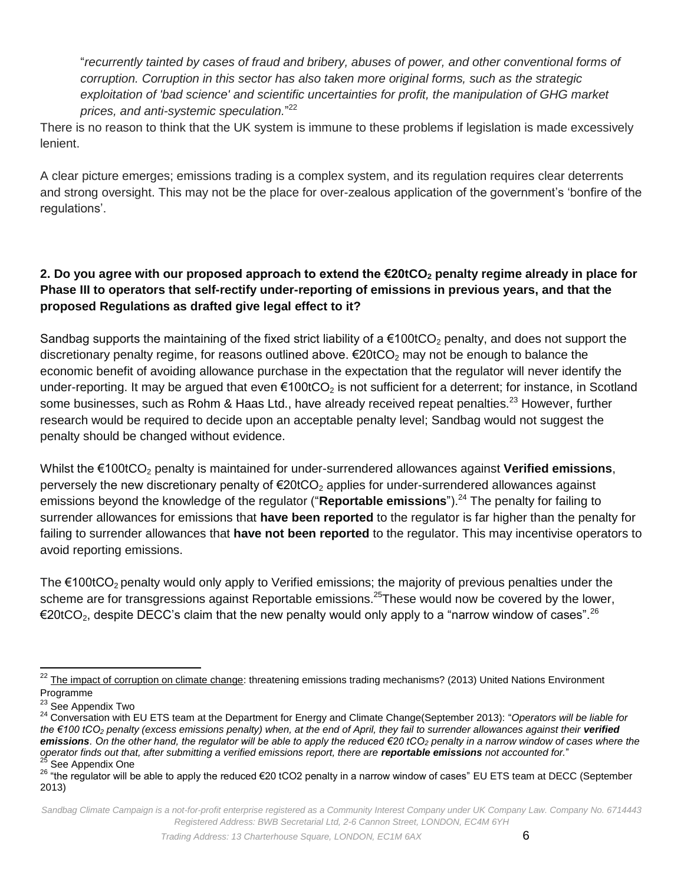"*recurrently tainted by cases of fraud and bribery, abuses of power, and other conventional forms of corruption. Corruption in this sector has also taken more original forms, such as the strategic exploitation of 'bad science' and scientific uncertainties for profit, the manipulation of GHG market prices, and anti-systemic speculation.*" 22

There is no reason to think that the UK system is immune to these problems if legislation is made excessively lenient.

A clear picture emerges; emissions trading is a complex system, and its regulation requires clear deterrents and strong oversight. This may not be the place for over-zealous application of the government's 'bonfire of the regulations'.

## **2. Do you agree with our proposed approach to extend the €20tCO<sup>2</sup> penalty regime already in place for Phase III to operators that self-rectify under-reporting of emissions in previous years, and that the proposed Regulations as drafted give legal effect to it?**

Sandbag supports the maintaining of the fixed strict liability of a  $€100tCO<sub>2</sub>$  penalty, and does not support the discretionary penalty regime, for reasons outlined above.  $\epsilon$ 20tCO<sub>2</sub> may not be enough to balance the economic benefit of avoiding allowance purchase in the expectation that the regulator will never identify the under-reporting. It may be argued that even  $\epsilon$ 100tCO<sub>2</sub> is not sufficient for a deterrent; for instance, in Scotland some businesses, such as Rohm & Haas Ltd., have already received repeat penalties.<sup>23</sup> However, further research would be required to decide upon an acceptable penalty level; Sandbag would not suggest the penalty should be changed without evidence.

Whilst the €100tCO<sub>2</sub> penalty is maintained for under-surrendered allowances against **Verified emissions**, perversely the new discretionary penalty of  $\epsilon$ 20tCO<sub>2</sub> applies for under-surrendered allowances against emissions beyond the knowledge of the regulator ("**Reportable emissions**").<sup>24</sup> The penalty for failing to surrender allowances for emissions that **have been reported** to the regulator is far higher than the penalty for failing to surrender allowances that **have not been reported** to the regulator. This may incentivise operators to avoid reporting emissions.

The  $€100tCO<sub>2</sub>$  penalty would only apply to Verified emissions; the majority of previous penalties under the scheme are for transgressions against Reportable emissions.<sup>25</sup>These would now be covered by the lower, €20tCO<sub>2</sub>, despite DECC's claim that the new penalty would only apply to a "narrow window of cases".<sup>26</sup>

 $\overline{\phantom{a}}$  $^{22}$  [The impact of corruption on climate change:](http://na.unep.net/geas/archive/pdfs/GEAS_Mar2013_EnvCorruption.pdf) threatening emissions trading mechanisms? (2013) United Nations Environment Programme

<sup>&</sup>lt;sup>23</sup> See Appendix Two

<sup>24</sup> Conversation with EU ETS team at the Department for Energy and Climate Change(September 2013): "*Operators will be liable for the €100 tCO<sup>2</sup> penalty (excess emissions penalty) when, at the end of April, they fail to surrender allowances against their verified emissions. On the other hand, the regulator will be able to apply the reduced €20 tCO<sup>2</sup> penalty in a narrow window of cases where the operator finds out that, after submitting a verified emissions report, there are reportable emissions not accounted for.*" See Appendix One

<sup>26</sup> "the regulator will be able to apply the reduced €20 tCO2 penalty in a narrow window of cases" EU ETS team at DECC (September 2013)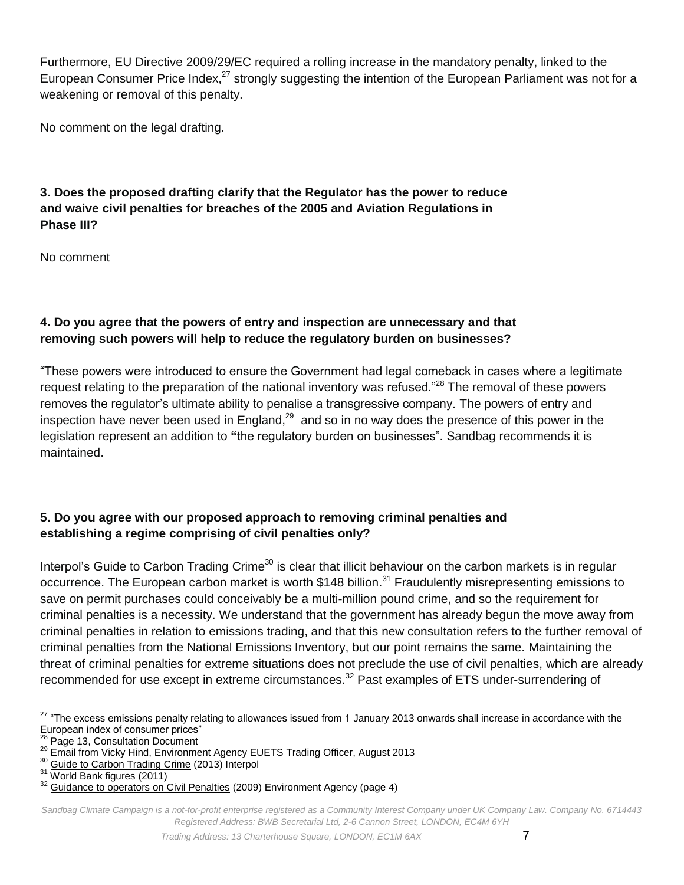Furthermore, EU Directive 2009/29/EC required a rolling increase in the mandatory penalty, linked to the European Consumer Price Index,<sup>27</sup> strongly suggesting the intention of the European Parliament was not for a weakening or removal of this penalty.

No comment on the legal drafting.

### **3. Does the proposed drafting clarify that the Regulator has the power to reduce and waive civil penalties for breaches of the 2005 and Aviation Regulations in Phase III?**

No comment

## **4. Do you agree that the powers of entry and inspection are unnecessary and that removing such powers will help to reduce the regulatory burden on businesses?**

"These powers were introduced to ensure the Government had legal comeback in cases where a legitimate request relating to the preparation of the national inventory was refused."<sup>28</sup> The removal of these powers removes the regulator's ultimate ability to penalise a transgressive company. The powers of entry and inspection have never been used in England,<sup>29</sup> and so in no way does the presence of this power in the legislation represent an addition to **"**the regulatory burden on businesses". Sandbag recommends it is maintained.

## **5. Do you agree with our proposed approach to removing criminal penalties and establishing a regime comprising of civil penalties only?**

Interpol's Guide to Carbon Trading Crime<sup>30</sup> is clear that illicit behaviour on the carbon markets is in regular occurrence. The European carbon market is worth \$148 billion.<sup>31</sup> Fraudulently misrepresenting emissions to save on permit purchases could conceivably be a multi-million pound crime, and so the requirement for criminal penalties is a necessity. We understand that the government has already begun the move away from criminal penalties in relation to emissions trading, and that this new consultation refers to the further removal of criminal penalties from the National Emissions Inventory, but our point remains the same. Maintaining the threat of criminal penalties for extreme situations does not preclude the use of civil penalties, which are already recommended for use except in extreme circumstances.<sup>32</sup> Past examples of ETS under-surrendering of

 $\overline{\phantom{a}}$  $27$  "The excess emissions penalty relating to allowances issued from 1 January 2013 onwards shall increase in accordance with the European index of consumer prices"

Page 13[, Consultation Document](https://www.gov.uk/government/uploads/system/uploads/attachment_data/file/226910/EU_ETS_amend_regs_-_condoc_130808.pdf)

<sup>&</sup>lt;sup>29</sup> Email from Vicky Hind, Environment Agency EUETS Trading Officer, August 2013

<sup>&</sup>lt;sup>30</sup> [Guide to Carbon Trading Crime](http://www.interpol.int/Media/Files/Crime-areas/Environmental-crime/Guide-to-Carbon-Trading-Crime) (2013) Interpol

<sup>31</sup> [World Bank figures](http://www.google.com/url?q=http%3A%2F%2Fwww.reuters.com%2Farticle%2F2012%2F05%2F30%2Fus-world-bank-carbon-idUSBRE84T08720120530&sa=D&sntz=1&usg=AFQjCNHaZSogdw7bz5PZIXs791k2myiz7w) (2011)

<sup>&</sup>lt;sup>32</sup> [Guidance to operators on Civil Penalties](http://www.environment-agency.gov.uk/static/documents/Business/2009_01_29_Guidance_to_Operators_on_civil_penalties.pdf) (2009) Environment Agency (page 4)

*Sandbag Climate Campaign is a not-for-profit enterprise registered as a Community Interest Company under UK Company Law. Company No. 6714443 Registered Address: BWB Secretarial Ltd, 2-6 Cannon Street, LONDON, EC4M 6YH*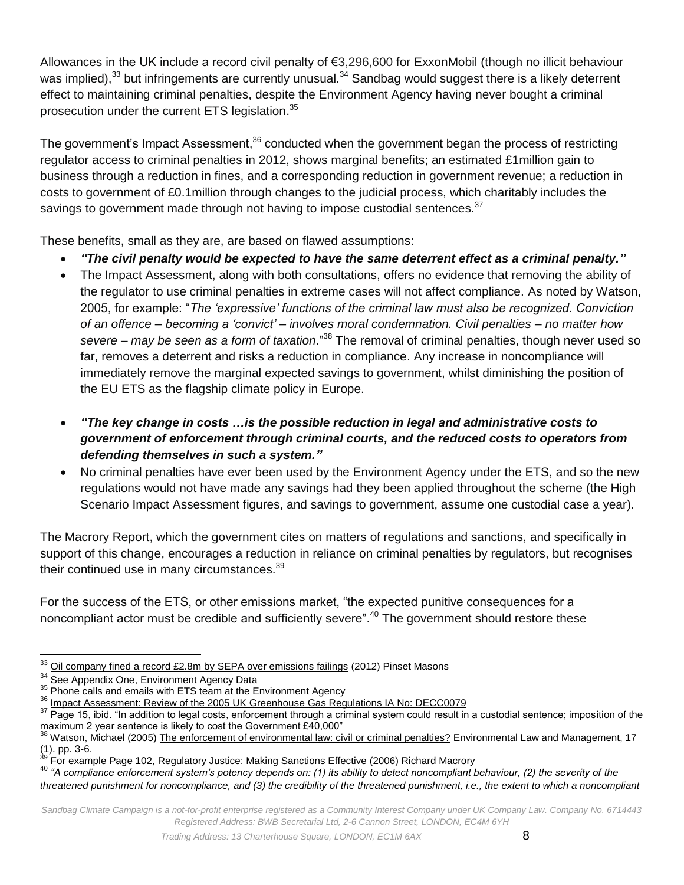Allowances in the UK include a record civil penalty of €3,296,600 for ExxonMobil (though no illicit behaviour was implied),<sup>33</sup> but infringements are currently unusual.<sup>34</sup> Sandbag would suggest there is a likely deterrent effect to maintaining criminal penalties, despite the Environment Agency having never bought a criminal prosecution under the current ETS legislation.<sup>35</sup>

The government's Impact Assessment,<sup>36</sup> conducted when the government began the process of restricting regulator access to criminal penalties in 2012, shows marginal benefits; an estimated £1million gain to business through a reduction in fines, and a corresponding reduction in government revenue; a reduction in costs to government of £0.1million through changes to the judicial process, which charitably includes the savings to government made through not having to impose custodial sentences.<sup>37</sup>

These benefits, small as they are, are based on flawed assumptions:

- *"The civil penalty would be expected to have the same deterrent effect as a criminal penalty."*
- The Impact Assessment, along with both consultations, offers no evidence that removing the ability of the regulator to use criminal penalties in extreme cases will not affect compliance. As noted by Watson, 2005, for example: "*The 'expressive' functions of the criminal law must also be recognized. Conviction of an offence – becoming a 'convict' – involves moral condemnation. Civil penalties – no matter how severe – may be seen as a form of taxation*." <sup>38</sup> The removal of criminal penalties, though never used so far, removes a deterrent and risks a reduction in compliance. Any increase in noncompliance will immediately remove the marginal expected savings to government, whilst diminishing the position of the EU ETS as the flagship climate policy in Europe.
- *"The key change in costs …is the possible reduction in legal and administrative costs to government of enforcement through criminal courts, and the reduced costs to operators from defending themselves in such a system."*
- No criminal penalties have ever been used by the Environment Agency under the ETS, and so the new regulations would not have made any savings had they been applied throughout the scheme (the High Scenario Impact Assessment figures, and savings to government, assume one custodial case a year).

The Macrory Report, which the government cites on matters of regulations and sanctions, and specifically in support of this change, encourages a reduction in reliance on criminal penalties by regulators, but recognises their continued use in many circumstances.<sup>39</sup>

For the success of the ETS, or other emissions market, "the expected punitive consequences for a noncompliant actor must be credible and sufficiently severe".<sup>40</sup> The government should restore these

 $\overline{\phantom{a}}$  $^{33}$  [Oil company fined a record £2.8m by SEPA over emissions failings](http://www.out-law.com/en/articles/2012/february/oil-company-fined-a-record-28m-by-sepa-over-emissions-failings/) (2012) Pinset Masons

<sup>&</sup>lt;sup>34</sup> See Appendix One, Environment Agency Data

<sup>&</sup>lt;sup>35</sup> Phone calls and emails with ETS team at the Environment Agency

**<sup>36</sup> [Impact Assessment: Review of the 2005 UK Greenhouse Gas Regulations IA No: DECC0079](https://www.gov.uk/government/uploads/system/uploads/attachment_data/file/42947/5220-ia-transposition-eu-ets-directive.pdf)** 

<sup>&</sup>lt;sup>37</sup> Page 15, ibid. "In addition to legal costs, enforcement through a criminal system could result in a custodial sentence; imposition of the maximum 2 year sentence is likely to cost the Government £40,000"<br><sup>38</sup> Watson, Michael (2005) The Cost of Covernment £40,000"

Watson, Michael (2005[\) The enforcement of environmental law: civil or criminal penalties?](http://eprints.hud.ac.uk/339/1/WatsonEnforcement.pdf) Environmental Law and Management, 17  $(1)$ . pp. 3-6.

<sup>39</sup> For example Page 102, [Regulatory Justice: Making Sanctions Effective](http://www.berr.gov.uk/files/file44593.pdf) (2006) Richard Macrory

<sup>40</sup> *"A compliance enforcement system's potency depends on: (1) its ability to detect noncompliant behaviour, (2) the severity of the* 

*threatened punishment for noncompliance, and (3) the credibility of the threatened punishment, i.e., the extent to which a noncompliant*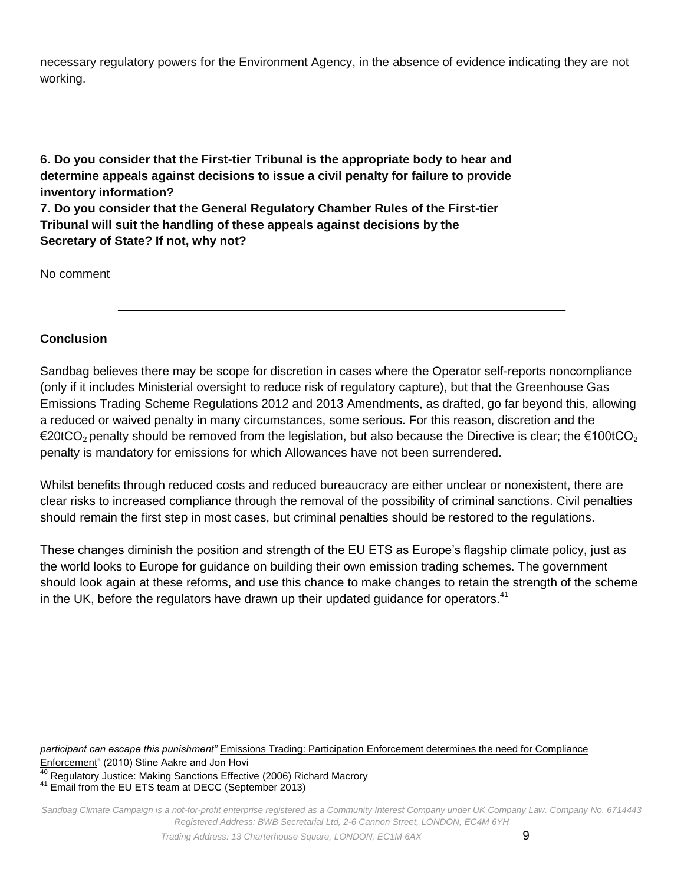necessary regulatory powers for the Environment Agency, in the absence of evidence indicating they are not working.

**6. Do you consider that the First-tier Tribunal is the appropriate body to hear and determine appeals against decisions to issue a civil penalty for failure to provide inventory information? 7. Do you consider that the General Regulatory Chamber Rules of the First-tier** 

**Tribunal will suit the handling of these appeals against decisions by the Secretary of State? If not, why not?** 

No comment

#### **Conclusion**

Sandbag believes there may be scope for discretion in cases where the Operator self-reports noncompliance (only if it includes Ministerial oversight to reduce risk of regulatory capture), but that the Greenhouse Gas Emissions Trading Scheme Regulations 2012 and 2013 Amendments, as drafted, go far beyond this, allowing a reduced or waived penalty in many circumstances, some serious. For this reason, discretion and the €20tCO<sub>2</sub> penalty should be removed from the legislation, but also because the Directive is clear; the €100tCO<sub>2</sub> penalty is mandatory for emissions for which Allowances have not been surrendered.

Whilst benefits through reduced costs and reduced bureaucracy are either unclear or nonexistent, there are clear risks to increased compliance through the removal of the possibility of criminal sanctions. Civil penalties should remain the first step in most cases, but criminal penalties should be restored to the regulations.

These changes diminish the position and strength of the EU ETS as Europe's flagship climate policy, just as the world looks to Europe for guidance on building their own emission trading schemes. The government should look again at these reforms, and use this chance to make changes to retain the strength of the scheme in the UK, before the regulators have drawn up their updated guidance for operators. $41$ 

l *participant can escape this punishment"* Emissions Trading: Participation [Enforcement determines the need for Compliance](http://eup.sagepub.com/content/11/3/427.abstract)  [Enforcement"](http://eup.sagepub.com/content/11/3/427.abstract) (2010) Stine Aakre and Jon Hovi

<sup>41</sup> Email from the EU ETS team at DECC (September 2013)

*Sandbag Climate Campaign is a not-for-profit enterprise registered as a Community Interest Company under UK Company Law. Company No. 6714443 Registered Address: BWB Secretarial Ltd, 2-6 Cannon Street, LONDON, EC4M 6YH*

<sup>40</sup> [Regulatory Justice: Making Sanctions Effective](http://www.berr.gov.uk/files/file44593.pdf) (2006) Richard Macrory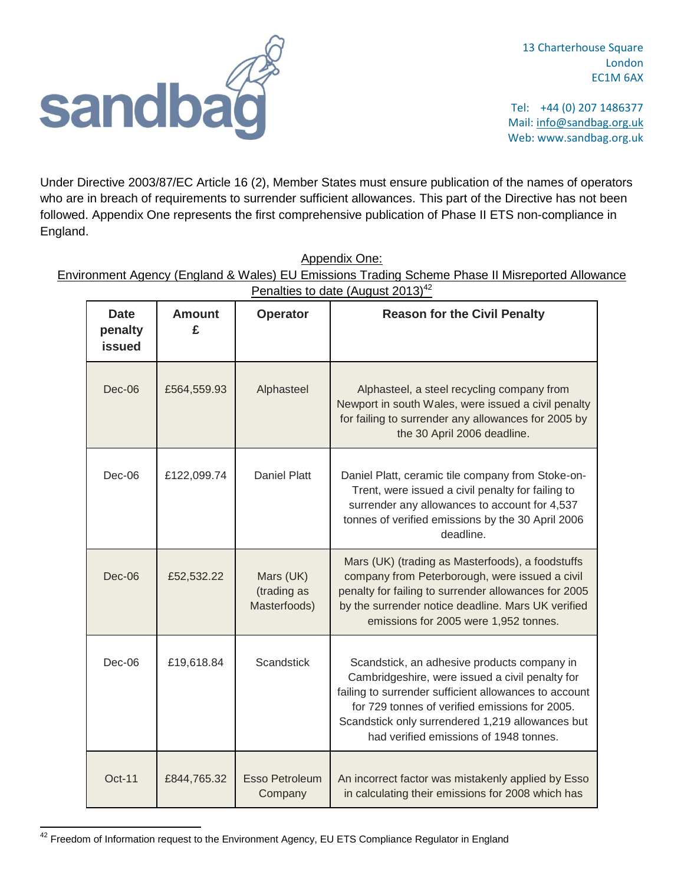

13 Charterhouse Square London EC1M 6AX

Tel: +44 (0) 207 1486377 Mail: info@sandbag.org.uk Web: www.sandbag.org.uk

Under Directive 2003/87/EC Article 16 (2), Member States must ensure publication of the names of operators who are in breach of requirements to surrender sufficient allowances. This part of the Directive has not been followed. Appendix One represents the first comprehensive publication of Phase II ETS non-compliance in England.

| Penalties to date (August $2013)^{42}$  |                    |                                          |                                                                                                                                                                                                                                                                                                         |  |  |  |
|-----------------------------------------|--------------------|------------------------------------------|---------------------------------------------------------------------------------------------------------------------------------------------------------------------------------------------------------------------------------------------------------------------------------------------------------|--|--|--|
| <b>Date</b><br>penalty<br><b>issued</b> | <b>Amount</b><br>£ | <b>Operator</b>                          | <b>Reason for the Civil Penalty</b>                                                                                                                                                                                                                                                                     |  |  |  |
| Dec-06                                  | £564,559.93        | Alphasteel                               | Alphasteel, a steel recycling company from<br>Newport in south Wales, were issued a civil penalty<br>for failing to surrender any allowances for 2005 by<br>the 30 April 2006 deadline.                                                                                                                 |  |  |  |
| Dec-06                                  | £122,099.74        | <b>Daniel Platt</b>                      | Daniel Platt, ceramic tile company from Stoke-on-<br>Trent, were issued a civil penalty for failing to<br>surrender any allowances to account for 4,537<br>tonnes of verified emissions by the 30 April 2006<br>deadline.                                                                               |  |  |  |
| Dec-06                                  | £52,532.22         | Mars (UK)<br>(trading as<br>Masterfoods) | Mars (UK) (trading as Masterfoods), a foodstuffs<br>company from Peterborough, were issued a civil<br>penalty for failing to surrender allowances for 2005<br>by the surrender notice deadline. Mars UK verified<br>emissions for 2005 were 1,952 tonnes.                                               |  |  |  |
| $Dec-06$                                | £19,618.84         | <b>Scandstick</b>                        | Scandstick, an adhesive products company in<br>Cambridgeshire, were issued a civil penalty for<br>failing to surrender sufficient allowances to account<br>for 729 tonnes of verified emissions for 2005.<br>Scandstick only surrendered 1,219 allowances but<br>had verified emissions of 1948 tonnes. |  |  |  |
| <b>Oct-11</b>                           | £844,765.32        | <b>Esso Petroleum</b><br>Company         | An incorrect factor was mistakenly applied by Esso<br>in calculating their emissions for 2008 which has                                                                                                                                                                                                 |  |  |  |

Appendix One:

Environment Agency (England & Wales) EU Emissions Trading Scheme Phase II Misreported Allowance

 $\overline{\phantom{a}}$ 

 $^{42}$  Freedom of Information request to the Environment Agency, EU ETS Compliance Regulator in England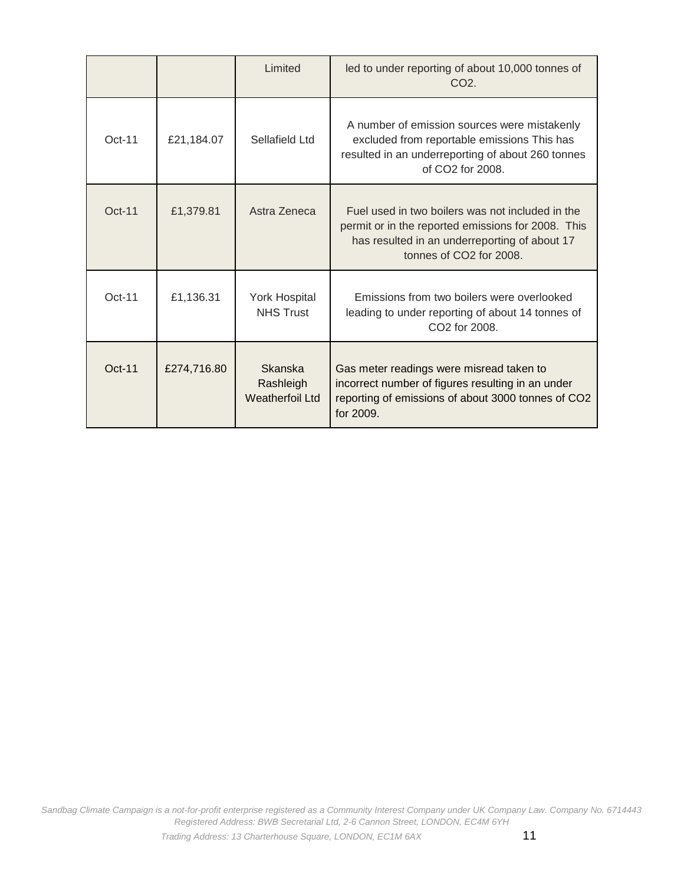|          |             | Limited                                               | led to under reporting of about 10,000 tonnes of<br>CO <sub>2</sub>                                                                                                                |
|----------|-------------|-------------------------------------------------------|------------------------------------------------------------------------------------------------------------------------------------------------------------------------------------|
| $Oct-11$ | £21,184.07  | Sellafield Ltd                                        | A number of emission sources were mistakenly<br>excluded from reportable emissions This has<br>resulted in an underreporting of about 260 tonnes<br>of $CO2$ for $2008$ .          |
| $Oct-11$ | £1,379.81   | Astra Zeneca                                          | Fuel used in two boilers was not included in the<br>permit or in the reported emissions for 2008. This<br>has resulted in an underreporting of about 17<br>tonnes of CO2 for 2008. |
| $Oct-11$ | £1,136.31   | <b>York Hospital</b><br><b>NHS Trust</b>              | Emissions from two boilers were overlooked<br>leading to under reporting of about 14 tonnes of<br>CO <sub>2</sub> for 2008.                                                        |
| $Oct-11$ | £274,716.80 | <b>Skanska</b><br>Rashleigh<br><b>Weatherfoil Ltd</b> | Gas meter readings were misread taken to<br>incorrect number of figures resulting in an under<br>reporting of emissions of about 3000 tonnes of CO2<br>for 2009.                   |